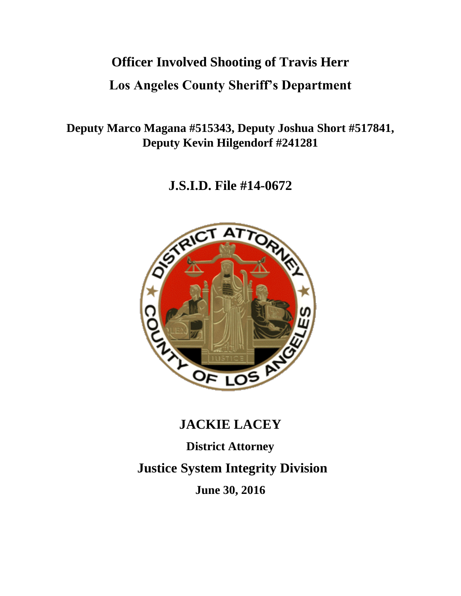# **Officer Involved Shooting of Travis Herr**

# **Los Angeles County Sheriff's Department**

**Deputy Marco Magana #515343, Deputy Joshua Short #517841, Deputy Kevin Hilgendorf #241281**

**J.S.I.D. File #14-0672**



# **JACKIE LACEY**

**District Attorney Justice System Integrity Division June 30, 2016**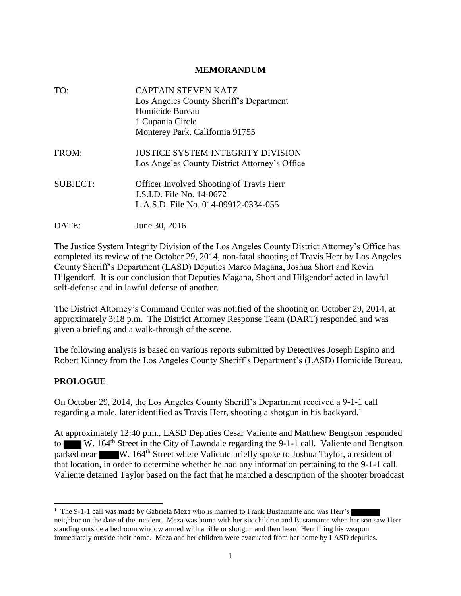#### **MEMORANDUM**

| TO:             | <b>CAPTAIN STEVEN KATZ</b><br>Los Angeles County Sheriff's Department<br>Homicide Bureau                             |
|-----------------|----------------------------------------------------------------------------------------------------------------------|
|                 | 1 Cupania Circle                                                                                                     |
|                 | Monterey Park, California 91755                                                                                      |
| FROM:           | <b>JUSTICE SYSTEM INTEGRITY DIVISION</b><br>Los Angeles County District Attorney's Office                            |
| <b>SUBJECT:</b> | <b>Officer Involved Shooting of Travis Herr</b><br>J.S.I.D. File No. 14-0672<br>L.A.S.D. File No. 014-09912-0334-055 |
| DATE:           | June 30, 2016                                                                                                        |

The Justice System Integrity Division of the Los Angeles County District Attorney's Office has completed its review of the October 29, 2014, non-fatal shooting of Travis Herr by Los Angeles County Sheriff's Department (LASD) Deputies Marco Magana, Joshua Short and Kevin Hilgendorf. It is our conclusion that Deputies Magana, Short and Hilgendorf acted in lawful self-defense and in lawful defense of another.

The District Attorney's Command Center was notified of the shooting on October 29, 2014, at approximately 3:18 p.m. The District Attorney Response Team (DART) responded and was given a briefing and a walk-through of the scene.

The following analysis is based on various reports submitted by Detectives Joseph Espino and Robert Kinney from the Los Angeles County Sheriff's Department's (LASD) Homicide Bureau.

## **PROLOGUE**

 $\overline{a}$ 

On October 29, 2014, the Los Angeles County Sheriff's Department received a 9-1-1 call regarding a male, later identified as Travis Herr, shooting a shotgun in his backyard.<sup>1</sup>

At approximately 12:40 p.m., LASD Deputies Cesar Valiente and Matthew Bengtson responded to W. 164<sup>th</sup> Street in the City of Lawndale regarding the 9-1-1 call. Valiente and Bengtson parked near W. 164<sup>th</sup> Street where Valiente briefly spoke to Joshua Taylor, a resident of that location, in order to determine whether he had any information pertaining to the 9-1-1 call. Valiente detained Taylor based on the fact that he matched a description of the shooter broadcast

<sup>&</sup>lt;sup>1</sup> The 9-1-1 call was made by Gabriela Meza who is married to Frank Bustamante and was Herr's neighbor on the date of the incident. Meza was home with her six children and Bustamante when her son saw Herr standing outside a bedroom window armed with a rifle or shotgun and then heard Herr firing his weapon immediately outside their home. Meza and her children were evacuated from her home by LASD deputies.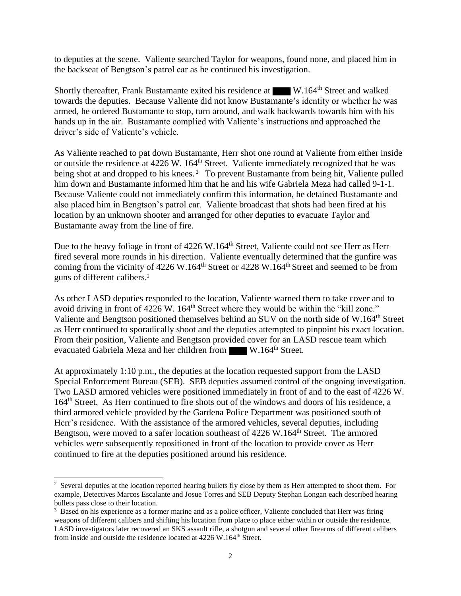to deputies at the scene. Valiente searched Taylor for weapons, found none, and placed him in the backseat of Bengtson's patrol car as he continued his investigation.

Shortly thereafter, Frank Bustamante exited his residence at W.164<sup>th</sup> Street and walked towards the deputies. Because Valiente did not know Bustamante's identity or whether he was armed, he ordered Bustamante to stop, turn around, and walk backwards towards him with his hands up in the air. Bustamante complied with Valiente's instructions and approached the driver's side of Valiente's vehicle.

As Valiente reached to pat down Bustamante, Herr shot one round at Valiente from either inside or outside the residence at 4226 W. 164<sup>th</sup> Street. Valiente immediately recognized that he was being shot at and dropped to his knees.<sup>2</sup> To prevent Bustamante from being hit, Valiente pulled him down and Bustamante informed him that he and his wife Gabriela Meza had called 9-1-1. Because Valiente could not immediately confirm this information, he detained Bustamante and also placed him in Bengtson's patrol car. Valiente broadcast that shots had been fired at his location by an unknown shooter and arranged for other deputies to evacuate Taylor and Bustamante away from the line of fire.

Due to the heavy foliage in front of 4226 W.164<sup>th</sup> Street, Valiente could not see Herr as Herr fired several more rounds in his direction. Valiente eventually determined that the gunfire was coming from the vicinity of 4226 W.164<sup>th</sup> Street or 4228 W.164<sup>th</sup> Street and seemed to be from guns of different calibers.<sup>3</sup>

As other LASD deputies responded to the location, Valiente warned them to take cover and to avoid driving in front of 4226 W. 164<sup>th</sup> Street where they would be within the "kill zone." Valiente and Bengtson positioned themselves behind an SUV on the north side of W.164<sup>th</sup> Street as Herr continued to sporadically shoot and the deputies attempted to pinpoint his exact location. From their position, Valiente and Bengtson provided cover for an LASD rescue team which evacuated Gabriela Meza and her children from W.164<sup>th</sup> Street.

At approximately 1:10 p.m., the deputies at the location requested support from the LASD Special Enforcement Bureau (SEB). SEB deputies assumed control of the ongoing investigation. Two LASD armored vehicles were positioned immediately in front of and to the east of 4226 W. 164<sup>th</sup> Street. As Herr continued to fire shots out of the windows and doors of his residence, a third armored vehicle provided by the Gardena Police Department was positioned south of Herr's residence. With the assistance of the armored vehicles, several deputies, including Bengtson, were moved to a safer location southeast of 4226 W.164<sup>th</sup> Street. The armored vehicles were subsequently repositioned in front of the location to provide cover as Herr continued to fire at the deputies positioned around his residence.

 $\overline{a}$ 

 $2$  Several deputies at the location reported hearing bullets fly close by them as Herr attempted to shoot them. For example, Detectives Marcos Escalante and Josue Torres and SEB Deputy Stephan Longan each described hearing bullets pass close to their location.

<sup>&</sup>lt;sup>3</sup> Based on his experience as a former marine and as a police officer, Valiente concluded that Herr was firing weapons of different calibers and shifting his location from place to place either within or outside the residence. LASD investigators later recovered an SKS assault rifle, a shotgun and several other firearms of different calibers from inside and outside the residence located at 4226 W.164<sup>th</sup> Street.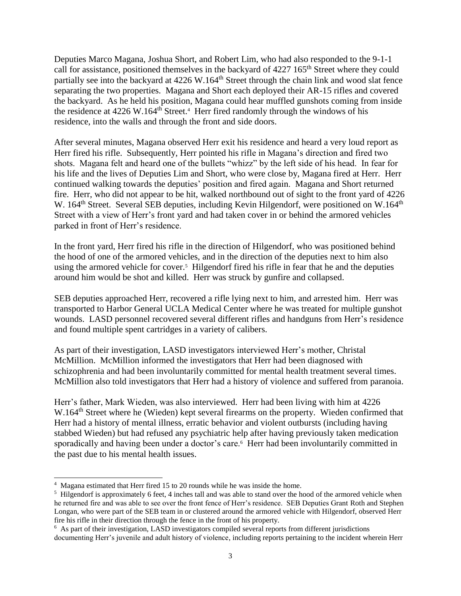Deputies Marco Magana, Joshua Short, and Robert Lim, who had also responded to the 9-1-1 call for assistance, positioned themselves in the backyard of 4227 165<sup>th</sup> Street where they could partially see into the backyard at 4226 W.164<sup>th</sup> Street through the chain link and wood slat fence separating the two properties. Magana and Short each deployed their AR-15 rifles and covered the backyard. As he held his position, Magana could hear muffled gunshots coming from inside the residence at  $4226 \text{ W}$ .164<sup>th</sup> Street.<sup>4</sup> Herr fired randomly through the windows of his residence, into the walls and through the front and side doors.

After several minutes, Magana observed Herr exit his residence and heard a very loud report as Herr fired his rifle. Subsequently, Herr pointed his rifle in Magana's direction and fired two shots. Magana felt and heard one of the bullets "whizz" by the left side of his head. In fear for his life and the lives of Deputies Lim and Short, who were close by, Magana fired at Herr. Herr continued walking towards the deputies' position and fired again. Magana and Short returned fire. Herr, who did not appear to be hit, walked northbound out of sight to the front yard of 4226 W. 164<sup>th</sup> Street. Several SEB deputies, including Kevin Hilgendorf, were positioned on W.164<sup>th</sup> Street with a view of Herr's front yard and had taken cover in or behind the armored vehicles parked in front of Herr's residence.

In the front yard, Herr fired his rifle in the direction of Hilgendorf, who was positioned behind the hood of one of the armored vehicles, and in the direction of the deputies next to him also using the armored vehicle for cover.<sup>5</sup> Hilgendorf fired his rifle in fear that he and the deputies around him would be shot and killed. Herr was struck by gunfire and collapsed.

SEB deputies approached Herr, recovered a rifle lying next to him, and arrested him. Herr was transported to Harbor General UCLA Medical Center where he was treated for multiple gunshot wounds. LASD personnel recovered several different rifles and handguns from Herr's residence and found multiple spent cartridges in a variety of calibers.

As part of their investigation, LASD investigators interviewed Herr's mother, Christal McMillion. McMillion informed the investigators that Herr had been diagnosed with schizophrenia and had been involuntarily committed for mental health treatment several times. McMillion also told investigators that Herr had a history of violence and suffered from paranoia.

Herr's father, Mark Wieden, was also interviewed. Herr had been living with him at 4226 W.164<sup>th</sup> Street where he (Wieden) kept several firearms on the property. Wieden confirmed that Herr had a history of mental illness, erratic behavior and violent outbursts (including having stabbed Wieden) but had refused any psychiatric help after having previously taken medication sporadically and having been under a doctor's care.<sup>6</sup> Herr had been involuntarily committed in the past due to his mental health issues.

 $\overline{a}$ 

<sup>&</sup>lt;sup>4</sup> Magana estimated that Herr fired 15 to 20 rounds while he was inside the home.

<sup>&</sup>lt;sup>5</sup> Hilgendorf is approximately 6 feet, 4 inches tall and was able to stand over the hood of the armored vehicle when he returned fire and was able to see over the front fence of Herr's residence. SEB Deputies Grant Roth and Stephen Longan, who were part of the SEB team in or clustered around the armored vehicle with Hilgendorf, observed Herr fire his rifle in their direction through the fence in the front of his property.

<sup>&</sup>lt;sup>6</sup> As part of their investigation, LASD investigators compiled several reports from different jurisdictions documenting Herr's juvenile and adult history of violence, including reports pertaining to the incident wherein Herr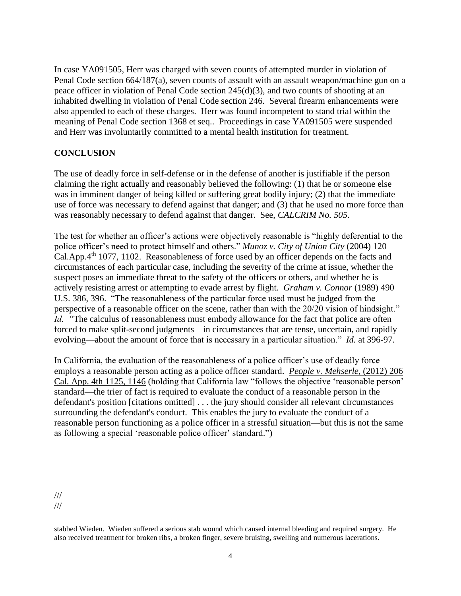In case YA091505, Herr was charged with seven counts of attempted murder in violation of Penal Code section 664/187(a), seven counts of assault with an assault weapon/machine gun on a peace officer in violation of Penal Code section 245(d)(3), and two counts of shooting at an inhabited dwelling in violation of Penal Code section 246. Several firearm enhancements were also appended to each of these charges. Herr was found incompetent to stand trial within the meaning of Penal Code section 1368 et seq.. Proceedings in case YA091505 were suspended and Herr was involuntarily committed to a mental health institution for treatment.

## **CONCLUSION**

The use of deadly force in self-defense or in the defense of another is justifiable if the person claiming the right actually and reasonably believed the following: (1) that he or someone else was in imminent danger of being killed or suffering great bodily injury; (2) that the immediate use of force was necessary to defend against that danger; and (3) that he used no more force than was reasonably necessary to defend against that danger. See, *CALCRIM No. 505*.

The test for whether an officer's actions were objectively reasonable is "highly deferential to the police officer's need to protect himself and others." *Munoz v. City of Union City* (2004) 120 Cal.App.4th 1077, 1102. Reasonableness of force used by an officer depends on the facts and circumstances of each particular case, including the severity of the crime at issue, whether the suspect poses an immediate threat to the safety of the officers or others, and whether he is actively resisting arrest or attempting to evade arrest by flight. *Graham v. Connor* (1989) 490 U.S. 386, 396. "The reasonableness of the particular force used must be judged from the perspective of a reasonable officer on the scene, rather than with the 20/20 vision of hindsight." *Id.* "The calculus of reasonableness must embody allowance for the fact that police are often forced to make split-second judgments—in circumstances that are tense, uncertain, and rapidly evolving—about the amount of force that is necessary in a particular situation." *Id.* at 396-97.

In California, the evaluation of the reasonableness of a police officer's use of deadly force employs a reasonable person acting as a police officer standard. *[People v. Mehserle](https://advance.lexis.com/api/document/collection/cases/id/55V4-VH01-F04B-N0PT-00000-00?context=1000516)*, (2012) 206 [Cal. App. 4th 1125, 1146](https://advance.lexis.com/api/document/collection/cases/id/55V4-VH01-F04B-N0PT-00000-00?context=1000516) (holding that California law "follows the objective 'reasonable person' standard—the trier of fact is required to evaluate the conduct of a reasonable person in the defendant's position [citations omitted] . . . the jury should consider all relevant circumstances surrounding the defendant's conduct. This enables the jury to evaluate the conduct of a reasonable person functioning as a police officer in a stressful situation—but this is not the same as following a special 'reasonable police officer' standard.")

 $\overline{a}$ 

<sup>///</sup>

<sup>///</sup>

stabbed Wieden. Wieden suffered a serious stab wound which caused internal bleeding and required surgery. He also received treatment for broken ribs, a broken finger, severe bruising, swelling and numerous lacerations.